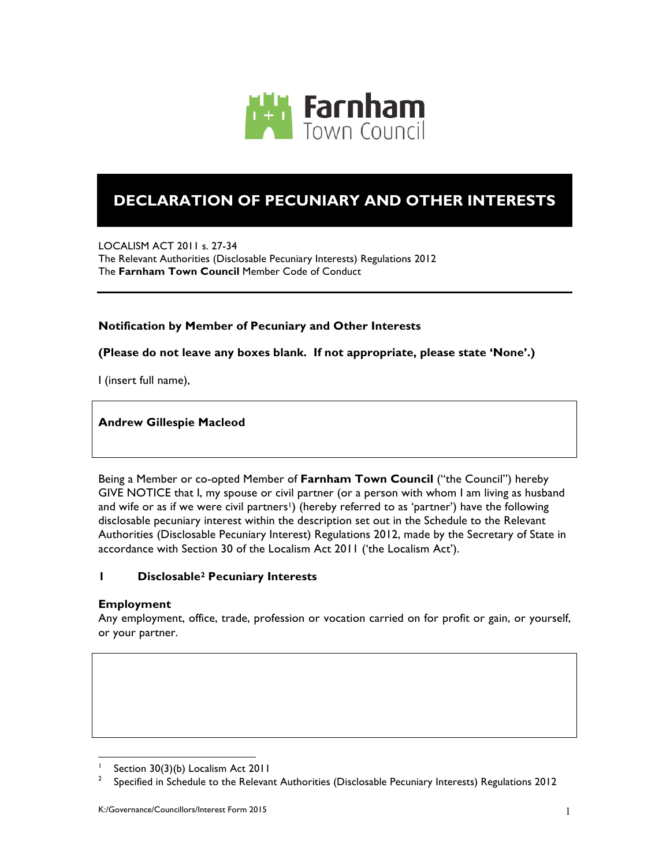

# **DECLARATION OF PECUNIARY AND OTHER INTERESTS**

LOCALISM ACT 2011 s. 27-34 The Relevant Authorities (Disclosable Pecuniary Interests) Regulations 2012 The **Farnham Town Council** Member Code of Conduct

# **Notification by Member of Pecuniary and Other Interests**

# **(Please do not leave any boxes blank. If not appropriate, please state 'None'.)**

I (insert full name),

#### **Andrew Gillespie Macleod**

Being a Member or co-opted Member of **Farnham Town Council** ("the Council") hereby GIVE NOTICE that I, my spouse or civil partner (or a person with whom I am living as husband and wife or as if we were civil partners<sup>1</sup>) (hereby referred to as 'partner') have the following disclosable pecuniary interest within the description set out in the Schedule to the Relevant Authorities (Disclosable Pecuniary Interest) Regulations 2012, made by the Secretary of State in accordance with Section 30 of the Localism Act 2011 ('the Localism Act').

# **1 Disclosable2 Pecuniary Interests**

# **Employment**

l

Any employment, office, trade, profession or vocation carried on for profit or gain, or yourself, or your partner.

<sup>&</sup>lt;sup>1</sup> Section 30(3)(b) Localism Act 2011

<sup>2</sup> Specified in Schedule to the Relevant Authorities (Disclosable Pecuniary Interests) Regulations 2012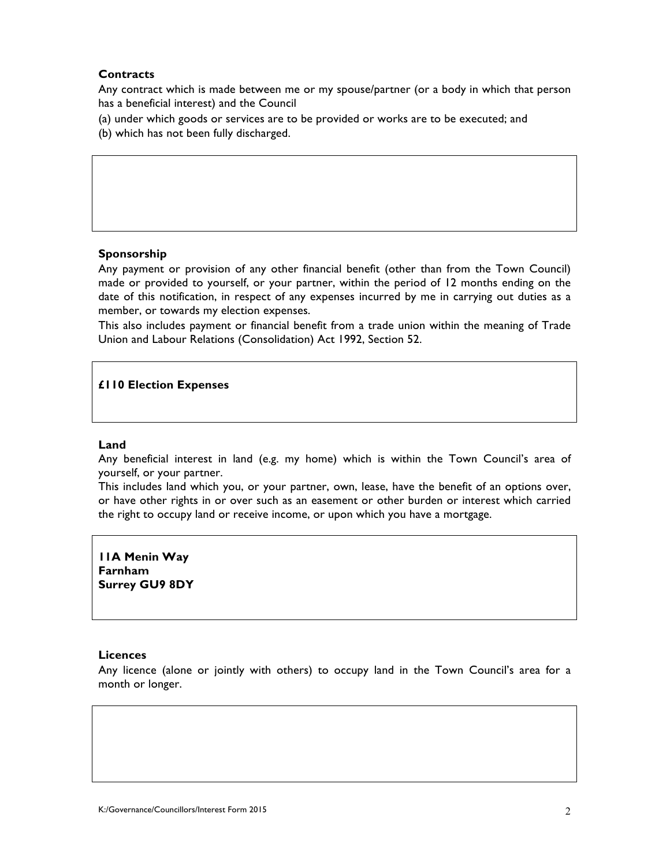# **Contracts**

Any contract which is made between me or my spouse/partner (or a body in which that person has a beneficial interest) and the Council

- (a) under which goods or services are to be provided or works are to be executed; and
- (b) which has not been fully discharged.

# **Sponsorship**

Any payment or provision of any other financial benefit (other than from the Town Council) made or provided to yourself, or your partner, within the period of 12 months ending on the date of this notification, in respect of any expenses incurred by me in carrying out duties as a member, or towards my election expenses.

This also includes payment or financial benefit from a trade union within the meaning of Trade Union and Labour Relations (Consolidation) Act 1992, Section 52.

# **£110 Election Expenses**

#### **Land**

Any beneficial interest in land (e.g. my home) which is within the Town Council's area of yourself, or your partner.

This includes land which you, or your partner, own, lease, have the benefit of an options over, or have other rights in or over such as an easement or other burden or interest which carried the right to occupy land or receive income, or upon which you have a mortgage.

**11A Menin Way Farnham Surrey GU9 8DY**

#### **Licences**

Any licence (alone or jointly with others) to occupy land in the Town Council's area for a month or longer.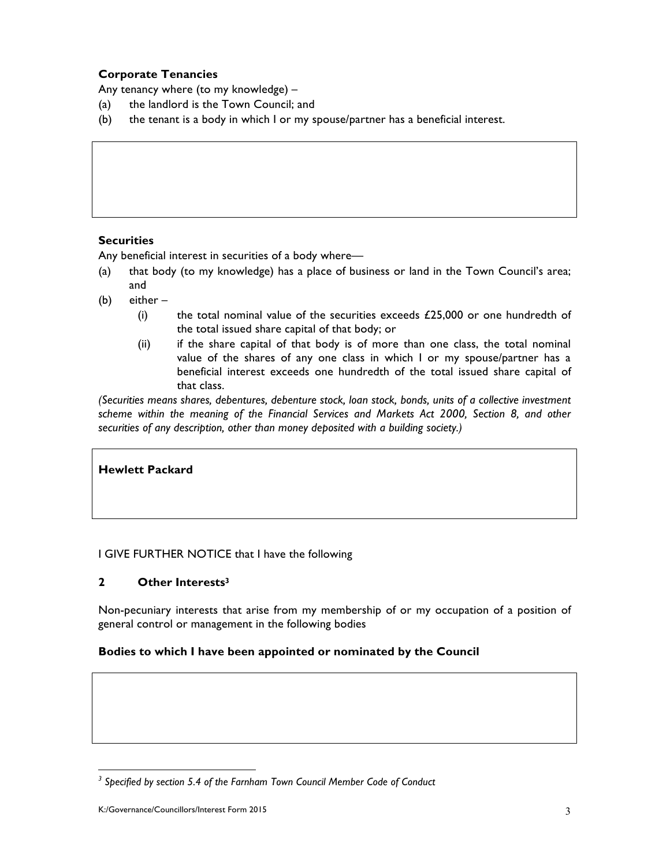# **Corporate Tenancies**

Any tenancy where (to my knowledge) –

- (a) the landlord is the Town Council; and
- (b) the tenant is a body in which I or my spouse/partner has a beneficial interest.

# **Securities**

Any beneficial interest in securities of a body where—

- (a) that body (to my knowledge) has a place of business or land in the Town Council's area; and
- (b) either
	- (i) the total nominal value of the securities exceeds  $£25,000$  or one hundredth of the total issued share capital of that body; or
	- (ii) if the share capital of that body is of more than one class, the total nominal value of the shares of any one class in which I or my spouse/partner has a beneficial interest exceeds one hundredth of the total issued share capital of that class.

*(Securities means shares, debentures, debenture stock, loan stock, bonds, units of a collective investment scheme within the meaning of the Financial Services and Markets Act 2000, Section 8, and other securities of any description, other than money deposited with a building society.)*

# **Hewlett Packard**

# I GIVE FURTHER NOTICE that I have the following

# **2 Other Interests3**

Non-pecuniary interests that arise from my membership of or my occupation of a position of general control or management in the following bodies

# **Bodies to which I have been appointed or nominated by the Council**

l

*<sup>3</sup> Specified by section 5.4 of the Farnham Town Council Member Code of Conduct*